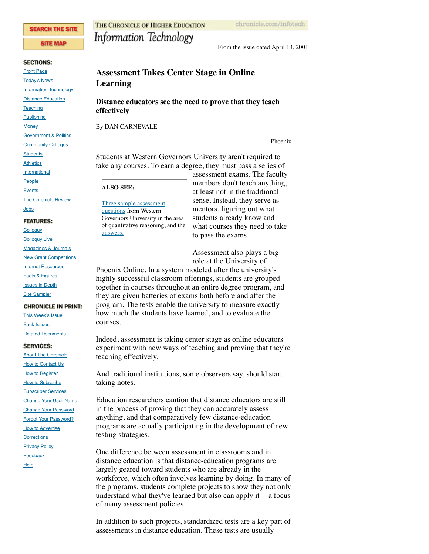#### **SEARCH THE SITE**

#### **SITE MAP**

#### **SECTIONS:**

[Front Page](https://web-beta.archive.org/web/20010606134936/http://www.chronicle.com:80/index.htm) [Today's News](https://web-beta.archive.org/web/20010606134936/http://www.chronicle.com:80/news/) [Information Technology](https://web-beta.archive.org/web/20010606134936/http://www.chronicle.com:80/infotech/) **[Distance Education](https://web-beta.archive.org/web/20010606134936/http://www.chronicle.com:80/distance/) [Teaching](https://web-beta.archive.org/web/20010606134936/http://www.chronicle.com:80/teaching/) [Publishing](https://web-beta.archive.org/web/20010606134936/http://www.chronicle.com:80/books/)** 

**[Money](https://web-beta.archive.org/web/20010606134936/http://www.chronicle.com:80/money/) [Government & Politics](https://web-beta.archive.org/web/20010606134936/http://www.chronicle.com:80/government/)** 

**[Community Colleges](https://web-beta.archive.org/web/20010606134936/http://www.chronicle.com:80/cc/)** 

**[Students](https://web-beta.archive.org/web/20010606134936/http://www.chronicle.com:80/students/)** 

**[Athletics](https://web-beta.archive.org/web/20010606134936/http://www.chronicle.com:80/athletics/)** 

[International](https://web-beta.archive.org/web/20010606134936/http://www.chronicle.com:80/world/)

[People](https://web-beta.archive.org/web/20010606134936/http://www.chronicle.com:80/people/)

[Events](https://web-beta.archive.org/web/20010606134936/http://www.chronicle.com:80/events/)

#### [The Chronicle Review](https://web-beta.archive.org/web/20010606134936/http://www.chronicle.com:80/review/) [Jobs](https://web-beta.archive.org/web/20010606134936/http://www.chronicle.com:80/jobs/)

# **FEATURES:**

**[Colloquy](https://web-beta.archive.org/web/20010606134936/http://www.chronicle.com:80/colloquy/) [Colloquy Live](https://web-beta.archive.org/web/20010606134936/http://www.chronicle.com:80/colloquylive/)** [Magazines & Journals](https://web-beta.archive.org/web/20010606134936/http://www.chronicle.com:80/free/magarch.htm) **[New Grant Competitions](https://web-beta.archive.org/web/20010606134936/http://www.chronicle.com:80/free/grants/)** [Internet Resources](https://web-beta.archive.org/web/20010606134936/http://www.chronicle.com:80/free/resources/) [Facts & Figures](https://web-beta.archive.org/web/20010606134936/http://www.chronicle.com:80/stats/) **[Issues in Depth](https://web-beta.archive.org/web/20010606134936/http://www.chronicle.com:80/indepth/) [Site Sampler](https://web-beta.archive.org/web/20010606134936/http://www.chronicle.com:80/free/)** 

#### **CHRONICLE IN PRINT:**

[This Week's Issue](https://web-beta.archive.org/web/20010606134936/http://www.chronicle.com:80/chronicle/) [Back Issues](https://web-beta.archive.org/web/20010606134936/http://www.chronicle.com:80/chronicle/archive.htm)

## [Related Documents](https://web-beta.archive.org/web/20010606134936/http://www.chronicle.com:80/documents/)

### **SERVICES:**

**[About The Chronicle](https://web-beta.archive.org/web/20010606134936/http://www.chronicle.com:80/help/about.htm)** [How to Contact Us](https://web-beta.archive.org/web/20010606134936/http://www.chronicle.com:80/help/contact.htm) **[How to Register](https://web-beta.archive.org/web/20010606134936/http://www.chronicle.com:80/register/)** [How to Subscribe](https://web-beta.archive.org/web/20010606134936/http://www.chronicle.com:80/subscribe/) [Subscriber Services](https://web-beta.archive.org/web/20010606134936/http://www.chronicle.com:80/services/services.htm) [Change Your User Name](https://web-beta.archive.org/web/20010606134936/http://www.chronicle.com:80/cgi-bin/circulation/users/namechange1.cgi) [Change Your Password](https://web-beta.archive.org/web/20010606134936/http://www.chronicle.com:80/cgi-bin/circulation/users/pwreset1.cgi) [Forgot Your Password?](https://web-beta.archive.org/web/20010606134936/http://www.chronicle.com:80/services/pwreset.htm) [How to Advertise](https://web-beta.archive.org/web/20010606134936/http://www.chronicle.com:80/help/adinfo.htm) **[Corrections](https://web-beta.archive.org/web/20010606134936/http://www.chronicle.com:80/help/corrections.htm) [Privacy Policy](https://web-beta.archive.org/web/20010606134936/http://www.chronicle.com:80/help/privacy.htm) [Feedback](https://web-beta.archive.org/web/20010606134936/http://www.chronicle.com:80/help/email.htm) [Help](https://web-beta.archive.org/web/20010606134936/http://www.chronicle.com:80/help/)** 

THE CHRONICLE OF HIGHER EDUCATION

# Information Technology

From the issue dated April 13, 2001

# **Assessment Takes Center Stage in Online Learning**

## **Distance educators see the need to prove that they teach effectively**

By DAN CARNEVALE

Phoenix

Students at Western Governors University aren't required to take any courses. To earn a degree, they must pass a series of

## **ALSO SEE:**

[Three sample assessment](#page-5-0) questions from Western Governors University in the area of quantitative reasoning, and the [answers.](#page-6-0)

assessment exams. The faculty members don't teach anything, at least not in the traditional sense. Instead, they serve as mentors, figuring out what students already know and what courses they need to take to pass the exams.

Assessment also plays a big role at the University of

Phoenix Online. In a system modeled after the university's highly successful classroom offerings, students are grouped together in courses throughout an entire degree program, and they are given batteries of exams both before and after the program. The tests enable the university to measure exactly how much the students have learned, and to evaluate the courses.

Indeed, assessment is taking center stage as online educators experiment with new ways of teaching and proving that they're teaching effectively.

And traditional institutions, some observers say, should start taking notes.

Education researchers caution that distance educators are still in the process of proving that they can accurately assess anything, and that comparatively few distance-education programs are actually participating in the development of new testing strategies.

One difference between assessment in classrooms and in distance education is that distance-education programs are largely geared toward students who are already in the workforce, which often involves learning by doing. In many of the programs, students complete projects to show they not only understand what they've learned but also can apply it -- a focus of many assessment policies.

In addition to such projects, standardized tests are a key part of assessments in distance education. These tests are usually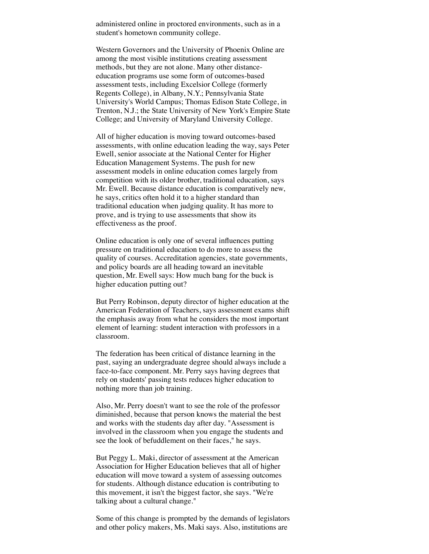administered online in proctored environments, such as in a student's hometown community college.

Western Governors and the University of Phoenix Online are among the most visible institutions creating assessment methods, but they are not alone. Many other distanceeducation programs use some form of outcomes-based assessment tests, including Excelsior College (formerly Regents College), in Albany, N.Y.; Pennsylvania State University's World Campus; Thomas Edison State College, in Trenton, N.J.; the State University of New York's Empire State College; and University of Maryland University College.

All of higher education is moving toward outcomes-based assessments, with online education leading the way, says Peter Ewell, senior associate at the National Center for Higher Education Management Systems. The push for new assessment models in online education comes largely from competition with its older brother, traditional education, says Mr. Ewell. Because distance education is comparatively new, he says, critics often hold it to a higher standard than traditional education when judging quality. It has more to prove, and is trying to use assessments that show its effectiveness as the proof.

Online education is only one of several influences putting pressure on traditional education to do more to assess the quality of courses. Accreditation agencies, state governments, and policy boards are all heading toward an inevitable question, Mr. Ewell says: How much bang for the buck is higher education putting out?

But Perry Robinson, deputy director of higher education at the American Federation of Teachers, says assessment exams shift the emphasis away from what he considers the most important element of learning: student interaction with professors in a classroom.

The federation has been critical of distance learning in the past, saying an undergraduate degree should always include a face-to-face component. Mr. Perry says having degrees that rely on students' passing tests reduces higher education to nothing more than job training.

Also, Mr. Perry doesn't want to see the role of the professor diminished, because that person knows the material the best and works with the students day after day. "Assessment is involved in the classroom when you engage the students and see the look of befuddlement on their faces," he says.

But Peggy L. Maki, director of assessment at the American Association for Higher Education believes that all of higher education will move toward a system of assessing outcomes for students. Although distance education is contributing to this movement, it isn't the biggest factor, she says. "We're talking about a cultural change."

Some of this change is prompted by the demands of legislators and other policy makers, Ms. Maki says. Also, institutions are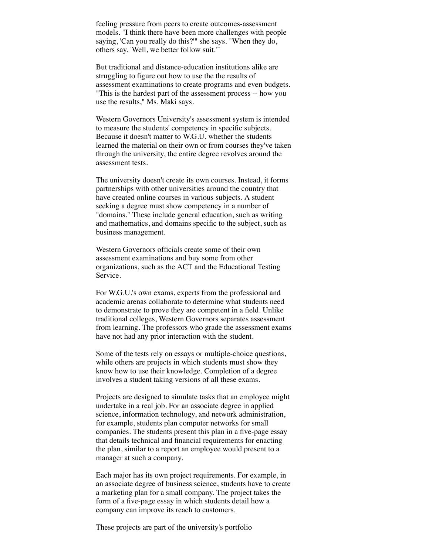feeling pressure from peers to create outcomes-assessment models. "I think there have been more challenges with people saying, 'Can you really do this?'" she says. "When they do, others say, 'Well, we better follow suit.'"

But traditional and distance-education institutions alike are struggling to figure out how to use the the results of assessment examinations to create programs and even budgets. "This is the hardest part of the assessment process -- how you use the results," Ms. Maki says.

Western Governors University's assessment system is intended to measure the students' competency in specific subjects. Because it doesn't matter to W.G.U. whether the students learned the material on their own or from courses they've taken through the university, the entire degree revolves around the assessment tests.

The university doesn't create its own courses. Instead, it forms partnerships with other universities around the country that have created online courses in various subjects. A student seeking a degree must show competency in a number of "domains." These include general education, such as writing and mathematics, and domains specific to the subject, such as business management.

Western Governors officials create some of their own assessment examinations and buy some from other organizations, such as the ACT and the Educational Testing Service.

For W.G.U.'s own exams, experts from the professional and academic arenas collaborate to determine what students need to demonstrate to prove they are competent in a field. Unlike traditional colleges, Western Governors separates assessment from learning. The professors who grade the assessment exams have not had any prior interaction with the student.

Some of the tests rely on essays or multiple-choice questions, while others are projects in which students must show they know how to use their knowledge. Completion of a degree involves a student taking versions of all these exams.

Projects are designed to simulate tasks that an employee might undertake in a real job. For an associate degree in applied science, information technology, and network administration, for example, students plan computer networks for small companies. The students present this plan in a five-page essay that details technical and financial requirements for enacting the plan, similar to a report an employee would present to a manager at such a company.

Each major has its own project requirements. For example, in an associate degree of business science, students have to create a marketing plan for a small company. The project takes the form of a five-page essay in which students detail how a company can improve its reach to customers.

These projects are part of the university's portfolio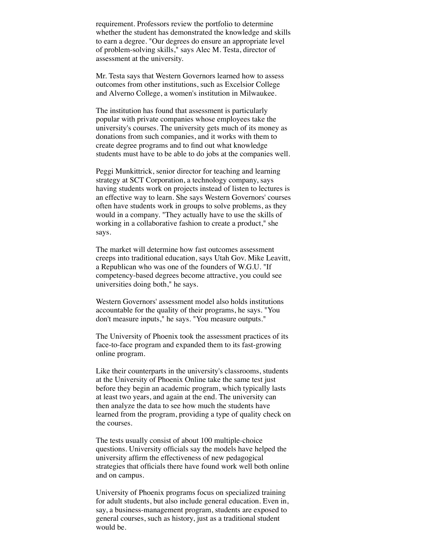requirement. Professors review the portfolio to determine whether the student has demonstrated the knowledge and skills to earn a degree. "Our degrees do ensure an appropriate level of problem-solving skills," says Alec M. Testa, director of assessment at the university.

Mr. Testa says that Western Governors learned how to assess outcomes from other institutions, such as Excelsior College and Alverno College, a women's institution in Milwaukee.

The institution has found that assessment is particularly popular with private companies whose employees take the university's courses. The university gets much of its money as donations from such companies, and it works with them to create degree programs and to find out what knowledge students must have to be able to do jobs at the companies well.

Peggi Munkittrick, senior director for teaching and learning strategy at SCT Corporation, a technology company, says having students work on projects instead of listen to lectures is an effective way to learn. She says Western Governors' courses often have students work in groups to solve problems, as they would in a company. "They actually have to use the skills of working in a collaborative fashion to create a product," she says.

The market will determine how fast outcomes assessment creeps into traditional education, says Utah Gov. Mike Leavitt, a Republican who was one of the founders of W.G.U. "If competency-based degrees become attractive, you could see universities doing both," he says.

Western Governors' assessment model also holds institutions accountable for the quality of their programs, he says. "You don't measure inputs," he says. "You measure outputs."

The University of Phoenix took the assessment practices of its face-to-face program and expanded them to its fast-growing online program.

Like their counterparts in the university's classrooms, students at the University of Phoenix Online take the same test just before they begin an academic program, which typically lasts at least two years, and again at the end. The university can then analyze the data to see how much the students have learned from the program, providing a type of quality check on the courses.

The tests usually consist of about 100 multiple-choice questions. University officials say the models have helped the university affirm the effectiveness of new pedagogical strategies that officials there have found work well both online and on campus.

University of Phoenix programs focus on specialized training for adult students, but also include general education. Even in, say, a business-management program, students are exposed to general courses, such as history, just as a traditional student would be.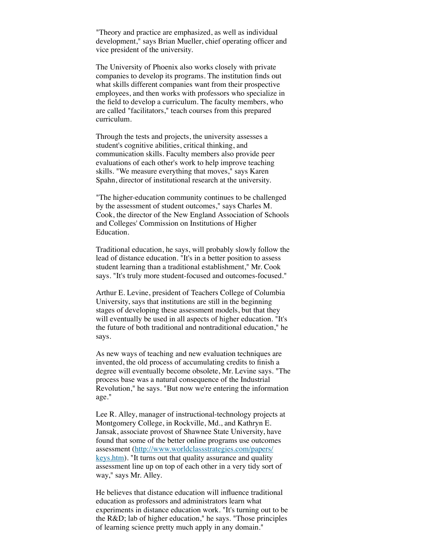"Theory and practice are emphasized, as well as individual development," says Brian Mueller, chief operating officer and vice president of the university.

The University of Phoenix also works closely with private companies to develop its programs. The institution finds out what skills different companies want from their prospective employees, and then works with professors who specialize in the field to develop a curriculum. The faculty members, who are called "facilitators," teach courses from this prepared curriculum.

Through the tests and projects, the university assesses a student's cognitive abilities, critical thinking, and communication skills. Faculty members also provide peer evaluations of each other's work to help improve teaching skills. "We measure everything that moves," says Karen Spahn, director of institutional research at the university.

"The higher-education community continues to be challenged by the assessment of student outcomes," says Charles M. Cook, the director of the New England Association of Schools and Colleges' Commission on Institutions of Higher Education.

Traditional education, he says, will probably slowly follow the lead of distance education. "It's in a better position to assess student learning than a traditional establishment," Mr. Cook says. "It's truly more student-focused and outcomes-focused."

Arthur E. Levine, president of Teachers College of Columbia University, says that institutions are still in the beginning stages of developing these assessment models, but that they will eventually be used in all aspects of higher education. "It's the future of both traditional and nontraditional education," he says.

As new ways of teaching and new evaluation techniques are invented, the old process of accumulating credits to finish a degree will eventually become obsolete, Mr. Levine says. "The process base was a natural consequence of the Industrial Revolution," he says. "But now we're entering the information age."

Lee R. Alley, manager of instructional-technology projects at Montgomery College, in Rockville, Md., and Kathryn E. Jansak, associate provost of Shawnee State University, have found that some of the better online programs use outcomes [assessment \(http://www.worldclassstrategies.com/papers/](https://web-beta.archive.org/web/20010606134936/http://www.worldclassstrategies.com/papers/keys.htm) keys.htm). "It turns out that quality assurance and quality assessment line up on top of each other in a very tidy sort of way," says Mr. Alley.

He believes that distance education will influence traditional education as professors and administrators learn what experiments in distance education work. "It's turning out to be the R&D; lab of higher education," he says. "Those principles of learning science pretty much apply in any domain."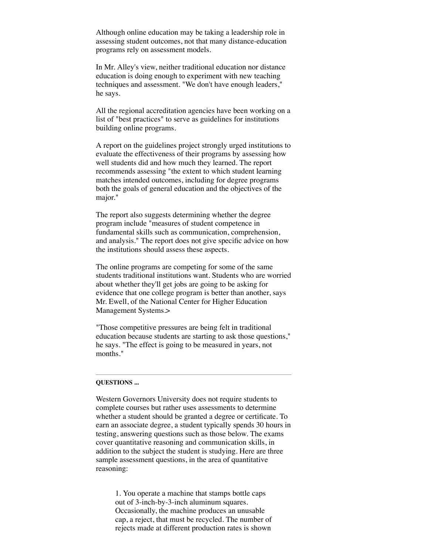Although online education may be taking a leadership role in assessing student outcomes, not that many distance-education programs rely on assessment models.

In Mr. Alley's view, neither traditional education nor distance education is doing enough to experiment with new teaching techniques and assessment. "We don't have enough leaders," he says.

All the regional accreditation agencies have been working on a list of "best practices" to serve as guidelines for institutions building online programs.

A report on the guidelines project strongly urged institutions to evaluate the effectiveness of their programs by assessing how well students did and how much they learned. The report recommends assessing "the extent to which student learning matches intended outcomes, including for degree programs both the goals of general education and the objectives of the major."

The report also suggests determining whether the degree program include "measures of student competence in fundamental skills such as communication, comprehension, and analysis." The report does not give specific advice on how the institutions should assess these aspects.

The online programs are competing for some of the same students traditional institutions want. Students who are worried about whether they'll get jobs are going to be asking for evidence that one college program is better than another, says Mr. Ewell, of the National Center for Higher Education Management Systems.>

"Those competitive pressures are being felt in traditional education because students are starting to ask those questions," he says. "The effect is going to be measured in years, not months."

#### <span id="page-5-0"></span>**QUESTIONS ...**

Western Governors University does not require students to complete courses but rather uses assessments to determine whether a student should be granted a degree or certificate. To earn an associate degree, a student typically spends 30 hours in testing, answering questions such as those below. The exams cover quantitative reasoning and communication skills, in addition to the subject the student is studying. Here are three sample assessment questions, in the area of quantitative reasoning:

1. You operate a machine that stamps bottle caps out of 3-inch-by-3-inch aluminum squares. Occasionally, the machine produces an unusable cap, a reject, that must be recycled. The number of rejects made at different production rates is shown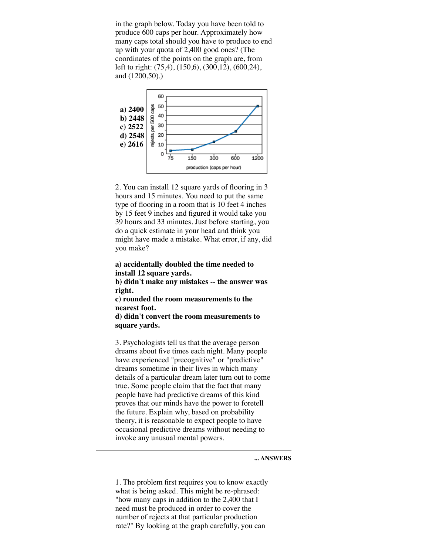in the graph below. Today you have been told to produce 600 caps per hour. Approximately how many caps total should you have to produce to end up with your quota of 2,400 good ones? (The coordinates of the points on the graph are, from left to right: (75,4), (150,6), (300,12), (600,24), and (1200,50).)



2. You can install 12 square yards of flooring in 3 hours and 15 minutes. You need to put the same type of flooring in a room that is 10 feet 4 inches by 15 feet 9 inches and figured it would take you 39 hours and 33 minutes. Just before starting, you do a quick estimate in your head and think you might have made a mistake. What error, if any, did you make?

## **a) accidentally doubled the time needed to install 12 square yards.**

**b) didn't make any mistakes -- the answer was right.**

**c) rounded the room measurements to the nearest foot.**

**d) didn't convert the room measurements to square yards.**

3. Psychologists tell us that the average person dreams about five times each night. Many people have experienced "precognitive" or "predictive" dreams sometime in their lives in which many details of a particular dream later turn out to come true. Some people claim that the fact that many people have had predictive dreams of this kind proves that our minds have the power to foretell the future. Explain why, based on probability theory, it is reasonable to expect people to have occasional predictive dreams without needing to invoke any unusual mental powers.

<span id="page-6-0"></span>**... ANSWERS**

1. The problem first requires you to know exactly what is being asked. This might be re-phrased: "how many caps in addition to the 2,400 that I need must be produced in order to cover the number of rejects at that particular production rate?" By looking at the graph carefully, you can